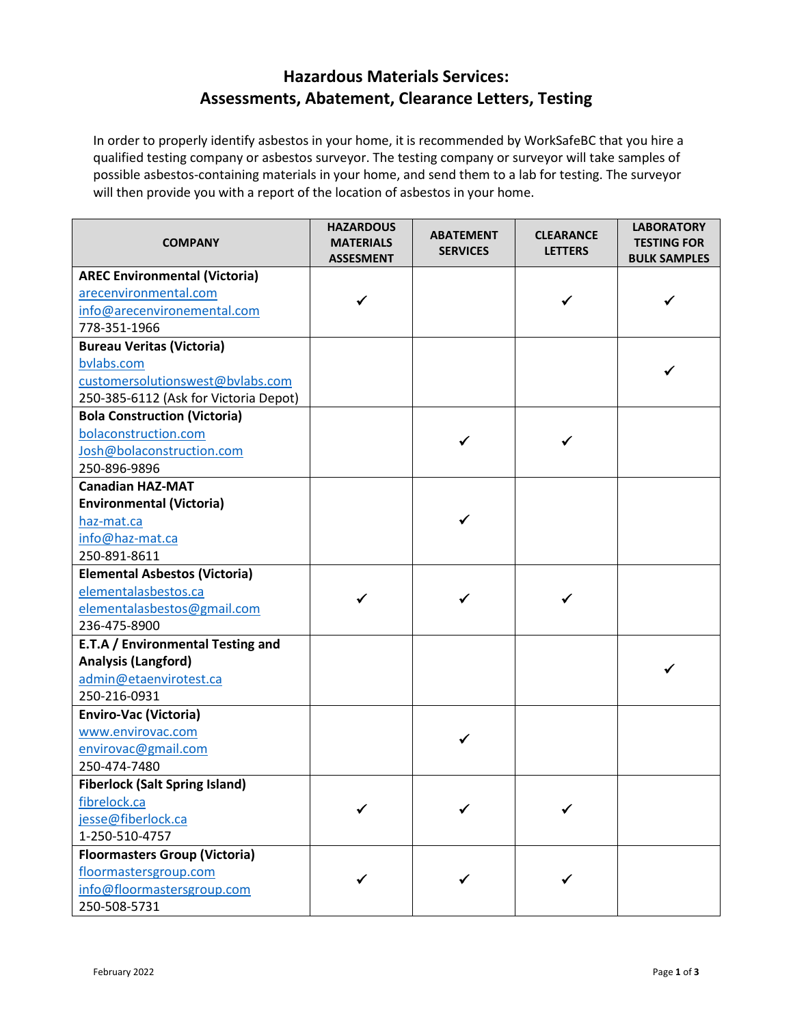## **Hazardous Materials Services: Assessments, Abatement, Clearance Letters, Testing**

In order to properly identify asbestos in your home, it is recommended by WorkSafeBC that you hire a qualified testing company or asbestos surveyor. The testing company or surveyor will take samples of possible asbestos-containing materials in your home, and send them to a lab for testing. The surveyor will then provide you with a report of the location of asbestos in your home.

| <b>COMPANY</b>                        | <b>HAZARDOUS</b><br><b>MATERIALS</b><br><b>ASSESMENT</b> | <b>ABATEMENT</b><br><b>SERVICES</b> | <b>CLEARANCE</b><br><b>LETTERS</b> | <b>LABORATORY</b><br><b>TESTING FOR</b><br><b>BULK SAMPLES</b> |
|---------------------------------------|----------------------------------------------------------|-------------------------------------|------------------------------------|----------------------------------------------------------------|
| <b>AREC Environmental (Victoria)</b>  |                                                          |                                     |                                    |                                                                |
| arecenvironmental.com                 | ✓                                                        |                                     | ✔                                  |                                                                |
| info@arecenvironemental.com           |                                                          |                                     |                                    |                                                                |
| 778-351-1966                          |                                                          |                                     |                                    |                                                                |
| <b>Bureau Veritas (Victoria)</b>      |                                                          |                                     |                                    |                                                                |
| bvlabs.com                            |                                                          |                                     |                                    |                                                                |
| customersolutionswest@bvlabs.com      |                                                          |                                     |                                    |                                                                |
| 250-385-6112 (Ask for Victoria Depot) |                                                          |                                     |                                    |                                                                |
| <b>Bola Construction (Victoria)</b>   |                                                          |                                     |                                    |                                                                |
| bolaconstruction.com                  |                                                          |                                     |                                    |                                                                |
| Josh@bolaconstruction.com             |                                                          |                                     |                                    |                                                                |
| 250-896-9896                          |                                                          |                                     |                                    |                                                                |
| <b>Canadian HAZ-MAT</b>               |                                                          |                                     |                                    |                                                                |
| <b>Environmental (Victoria)</b>       |                                                          |                                     |                                    |                                                                |
| haz-mat.ca                            |                                                          |                                     |                                    |                                                                |
| info@haz-mat.ca                       |                                                          |                                     |                                    |                                                                |
| 250-891-8611                          |                                                          |                                     |                                    |                                                                |
| <b>Elemental Asbestos (Victoria)</b>  |                                                          |                                     |                                    |                                                                |
| elementalasbestos.ca                  |                                                          |                                     |                                    |                                                                |
| elementalasbestos@gmail.com           |                                                          |                                     |                                    |                                                                |
| 236-475-8900                          |                                                          |                                     |                                    |                                                                |
| E.T.A / Environmental Testing and     |                                                          |                                     |                                    |                                                                |
| <b>Analysis (Langford)</b>            |                                                          |                                     |                                    |                                                                |
| admin@etaenvirotest.ca                |                                                          |                                     |                                    |                                                                |
| 250-216-0931                          |                                                          |                                     |                                    |                                                                |
| <b>Enviro-Vac (Victoria)</b>          |                                                          |                                     |                                    |                                                                |
| www.envirovac.com                     |                                                          |                                     |                                    |                                                                |
| envirovac@gmail.com                   |                                                          |                                     |                                    |                                                                |
| 250-474-7480                          |                                                          |                                     |                                    |                                                                |
| <b>Fiberlock (Salt Spring Island)</b> |                                                          |                                     |                                    |                                                                |
| fibrelock.ca                          |                                                          |                                     |                                    |                                                                |
| jesse@fiberlock.ca                    |                                                          |                                     |                                    |                                                                |
| 1-250-510-4757                        |                                                          |                                     |                                    |                                                                |
| <b>Floormasters Group (Victoria)</b>  |                                                          |                                     |                                    |                                                                |
| floormastersgroup.com                 | ✓                                                        |                                     |                                    |                                                                |
| info@floormastersgroup.com            |                                                          |                                     |                                    |                                                                |
| 250-508-5731                          |                                                          |                                     |                                    |                                                                |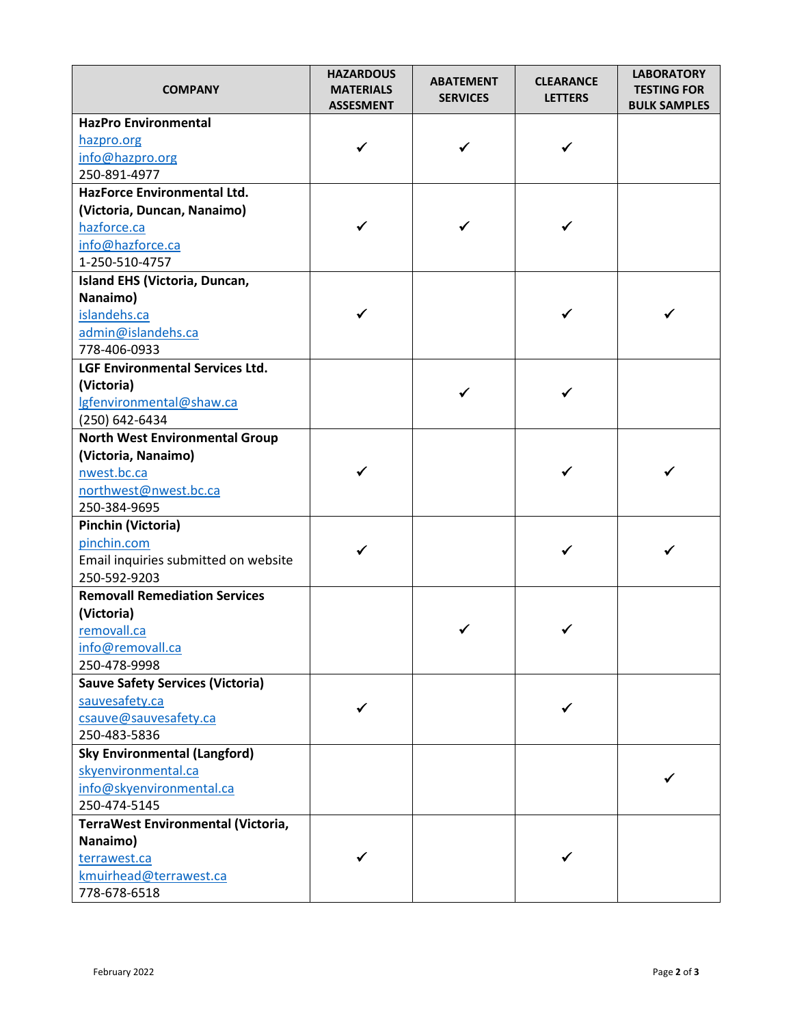| <b>COMPANY</b>                          | <b>HAZARDOUS</b><br><b>MATERIALS</b><br><b>ASSESMENT</b> | <b>ABATEMENT</b><br><b>SERVICES</b> | <b>CLEARANCE</b><br><b>LETTERS</b> | <b>LABORATORY</b><br><b>TESTING FOR</b><br><b>BULK SAMPLES</b> |
|-----------------------------------------|----------------------------------------------------------|-------------------------------------|------------------------------------|----------------------------------------------------------------|
| <b>HazPro Environmental</b>             |                                                          |                                     |                                    |                                                                |
| hazpro.org                              | ✓                                                        | ✓                                   |                                    |                                                                |
| info@hazpro.org                         |                                                          |                                     |                                    |                                                                |
| 250-891-4977                            |                                                          |                                     |                                    |                                                                |
| HazForce Environmental Ltd.             |                                                          |                                     |                                    |                                                                |
| (Victoria, Duncan, Nanaimo)             |                                                          |                                     |                                    |                                                                |
| hazforce.ca                             | ✓                                                        | ✓                                   |                                    |                                                                |
| info@hazforce.ca                        |                                                          |                                     |                                    |                                                                |
| 1-250-510-4757                          |                                                          |                                     |                                    |                                                                |
| Island EHS (Victoria, Duncan,           |                                                          |                                     |                                    |                                                                |
| Nanaimo)                                |                                                          |                                     |                                    |                                                                |
| islandehs.ca                            |                                                          |                                     |                                    |                                                                |
| admin@islandehs.ca                      |                                                          |                                     |                                    |                                                                |
| 778-406-0933                            |                                                          |                                     |                                    |                                                                |
| LGF Environmental Services Ltd.         |                                                          |                                     |                                    |                                                                |
| (Victoria)                              |                                                          | ✓                                   |                                    |                                                                |
| Igfenvironmental@shaw.ca                |                                                          |                                     |                                    |                                                                |
| (250) 642-6434                          |                                                          |                                     |                                    |                                                                |
| <b>North West Environmental Group</b>   |                                                          |                                     |                                    |                                                                |
| (Victoria, Nanaimo)                     | ✓                                                        |                                     |                                    |                                                                |
| nwest.bc.ca                             |                                                          |                                     |                                    |                                                                |
| northwest@nwest.bc.ca                   |                                                          |                                     |                                    |                                                                |
| 250-384-9695<br>Pinchin (Victoria)      |                                                          |                                     |                                    |                                                                |
| pinchin.com                             |                                                          |                                     |                                    |                                                                |
| Email inquiries submitted on website    | ✓                                                        |                                     |                                    |                                                                |
| 250-592-9203                            |                                                          |                                     |                                    |                                                                |
| <b>Removall Remediation Services</b>    |                                                          |                                     |                                    |                                                                |
| (Victoria)                              |                                                          |                                     |                                    |                                                                |
| removall.ca                             |                                                          |                                     |                                    |                                                                |
| info@removall.ca                        |                                                          |                                     |                                    |                                                                |
| 250-478-9998                            |                                                          |                                     |                                    |                                                                |
| <b>Sauve Safety Services (Victoria)</b> |                                                          |                                     |                                    |                                                                |
| sauvesafety.ca                          |                                                          |                                     |                                    |                                                                |
| csauve@sauvesafety.ca                   |                                                          |                                     |                                    |                                                                |
| 250-483-5836                            |                                                          |                                     |                                    |                                                                |
| <b>Sky Environmental (Langford)</b>     |                                                          |                                     |                                    |                                                                |
| skyenvironmental.ca                     |                                                          |                                     |                                    |                                                                |
| info@skyenvironmental.ca                |                                                          |                                     |                                    |                                                                |
| 250-474-5145                            |                                                          |                                     |                                    |                                                                |
| TerraWest Environmental (Victoria,      |                                                          |                                     |                                    |                                                                |
| Nanaimo)                                |                                                          |                                     |                                    |                                                                |
| terrawest.ca                            |                                                          |                                     |                                    |                                                                |
| kmuirhead@terrawest.ca                  |                                                          |                                     |                                    |                                                                |
| 778-678-6518                            |                                                          |                                     |                                    |                                                                |